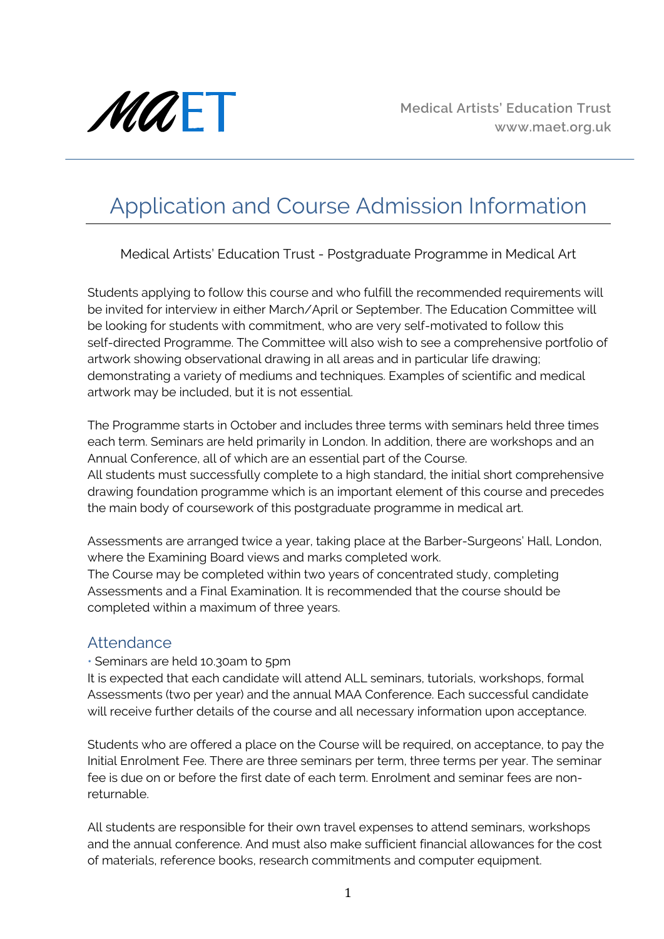

# Application and Course Admission Information

Medical Artists' Education Trust - Postgraduate Programme in Medical Art

Students applying to follow this course and who fulfill the recommended requirements will be invited for interview in either March/April or September. The Education Committee will be looking for students with commitment, who are very self-motivated to follow this self-directed Programme. The Committee will also wish to see a comprehensive portfolio of artwork showing observational drawing in all areas and in particular life drawing; demonstrating a variety of mediums and techniques. Examples of scientific and medical artwork may be included, but it is not essential.

The Programme starts in October and includes three terms with seminars held three times each term. Seminars are held primarily in London. In addition, there are workshops and an Annual Conference, all of which are an essential part of the Course.

All students must successfully complete to a high standard, the initial short comprehensive drawing foundation programme which is an important element of this course and precedes the main body of coursework of this postgraduate programme in medical art.

Assessments are arranged twice a year, taking place at the Barber-Surgeons' Hall, London, where the Examining Board views and marks completed work.

The Course may be completed within two years of concentrated study, completing Assessments and a Final Examination. It is recommended that the course should be completed within a maximum of three years.

### Attendance

• Seminars are held 10.30am to 5pm

It is expected that each candidate will attend ALL seminars, tutorials, workshops, formal Assessments (two per year) and the annual MAA Conference. Each successful candidate will receive further details of the course and all necessary information upon acceptance.

Students who are offered a place on the Course will be required, on acceptance, to pay the Initial Enrolment Fee. There are three seminars per term, three terms per year. The seminar fee is due on or before the first date of each term. Enrolment and seminar fees are nonreturnable.

All students are responsible for their own travel expenses to attend seminars, workshops and the annual conference. And must also make sufficient financial allowances for the cost of materials, reference books, research commitments and computer equipment.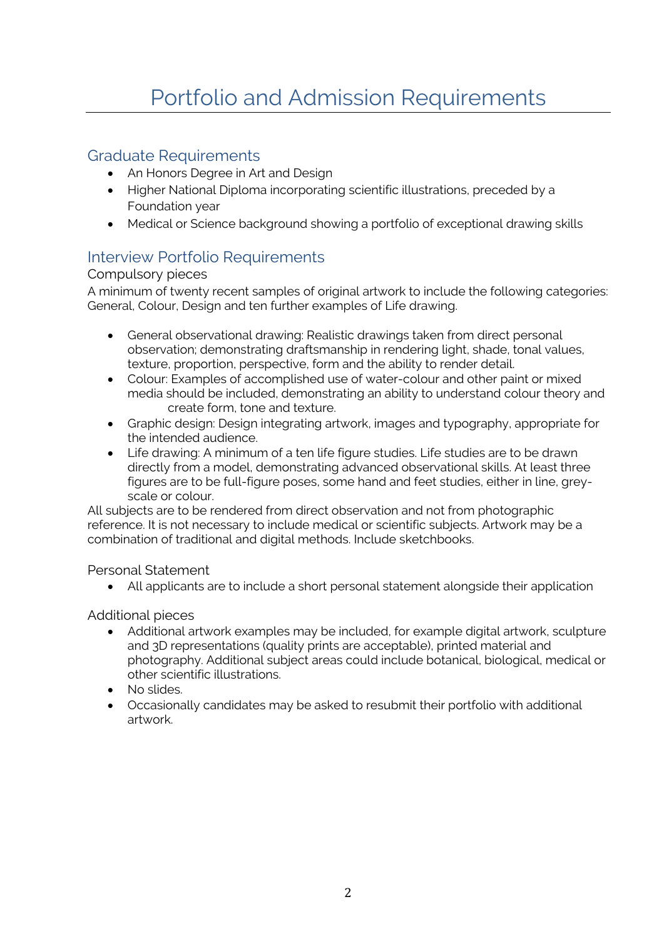### Graduate Requirements

- An Honors Degree in Art and Design
- Higher National Diploma incorporating scientific illustrations, preceded by a Foundation year
- Medical or Science background showing a portfolio of exceptional drawing skills

## Interview Portfolio Requirements

#### Compulsory pieces

A minimum of twenty recent samples of original artwork to include the following categories: General, Colour, Design and ten further examples of Life drawing.

- General observational drawing: Realistic drawings taken from direct personal observation; demonstrating draftsmanship in rendering light, shade, tonal values, texture, proportion, perspective, form and the ability to render detail.
- Colour: Examples of accomplished use of water-colour and other paint or mixed media should be included, demonstrating an ability to understand colour theory and create form, tone and texture.
- Graphic design: Design integrating artwork, images and typography, appropriate for the intended audience.
- Life drawing: A minimum of a ten life figure studies. Life studies are to be drawn directly from a model, demonstrating advanced observational skills. At least three figures are to be full-figure poses, some hand and feet studies, either in line, greyscale or colour.

All subjects are to be rendered from direct observation and not from photographic reference. It is not necessary to include medical or scientific subjects. Artwork may be a combination of traditional and digital methods. Include sketchbooks.

Personal Statement

• All applicants are to include a short personal statement alongside their application

Additional pieces

- Additional artwork examples may be included, for example digital artwork, sculpture and 3D representations (quality prints are acceptable), printed material and photography. Additional subject areas could include botanical, biological, medical or other scientific illustrations.
- No slides.
- Occasionally candidates may be asked to resubmit their portfolio with additional artwork.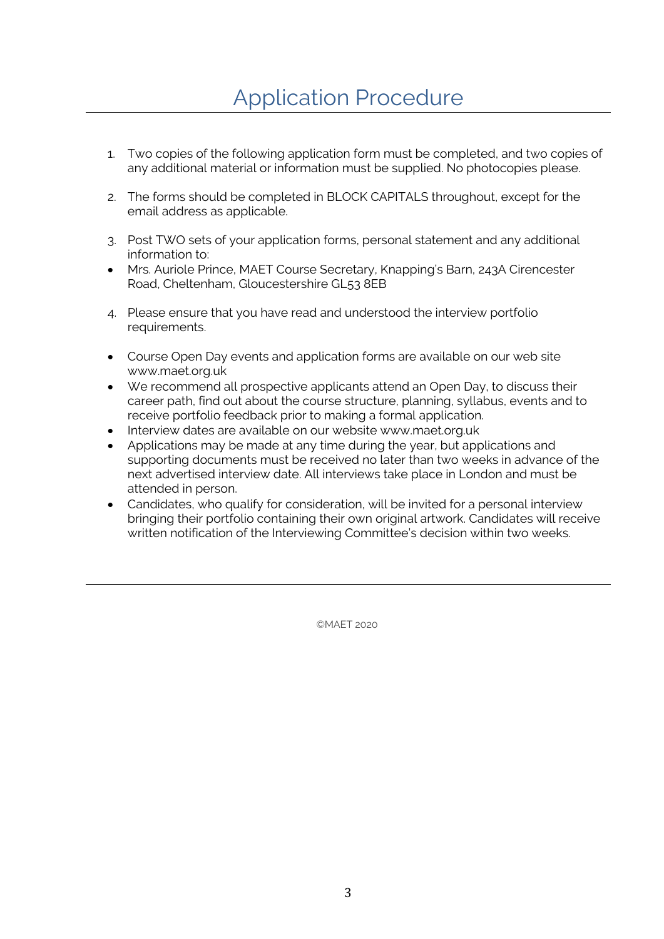- 1. Two copies of the following application form must be completed, and two copies of any additional material or information must be supplied. No photocopies please.
- 2. The forms should be completed in BLOCK CAPITALS throughout, except for the email address as applicable.
- 3. Post TWO sets of your application forms, personal statement and any additional information to:
- Mrs. Auriole Prince, MAET Course Secretary, Knapping's Barn, 243A Cirencester Road, Cheltenham, Gloucestershire GL53 8EB
- 4. Please ensure that you have read and understood the interview portfolio requirements.
- Course Open Day events and application forms are available on our web site www.maet.org.uk
- We recommend all prospective applicants attend an Open Day, to discuss their career path, find out about the course structure, planning, syllabus, events and to receive portfolio feedback prior to making a formal application.
- Interview dates are available on our website www.maet.org.uk
- Applications may be made at any time during the year, but applications and supporting documents must be received no later than two weeks in advance of the next advertised interview date. All interviews take place in London and must be attended in person.
- Candidates, who qualify for consideration, will be invited for a personal interview bringing their portfolio containing their own original artwork. Candidates will receive written notification of the Interviewing Committee's decision within two weeks.

©MAET 2020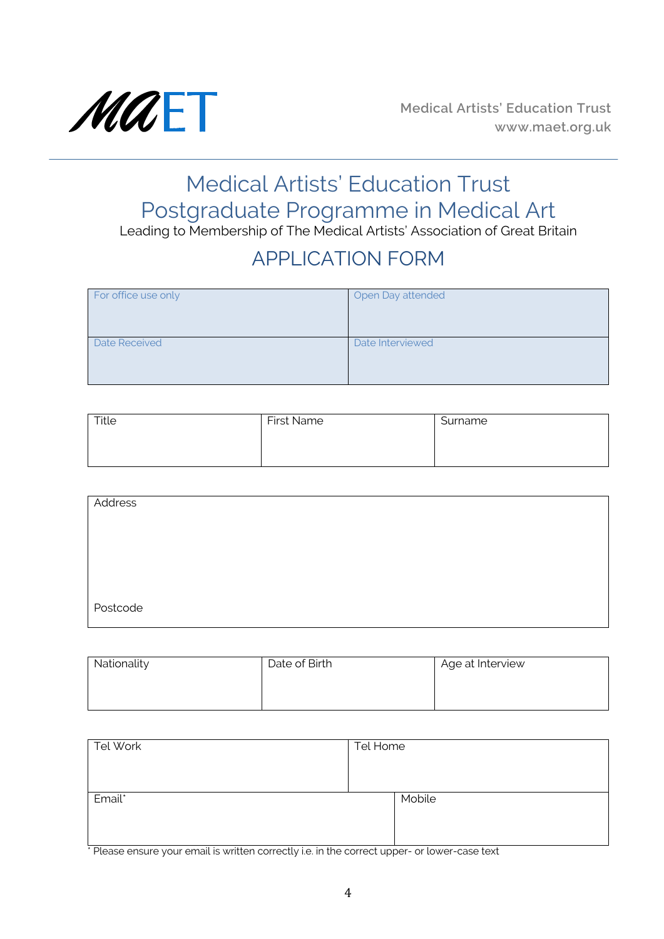

# Medical Artists' Education Trust Postgraduate Programme in Medical Art

Leading to Membership of The Medical Artists' Association of Great Britain

# APPLICATION FORM

| For office use only | Open Day attended |
|---------------------|-------------------|
| Date Received       | Date Interviewed  |

| Title | <b>First Name</b> | Surname |
|-------|-------------------|---------|
|       |                   |         |
|       |                   |         |

| Address  |  |
|----------|--|
|          |  |
|          |  |
|          |  |
|          |  |
| Postcode |  |

| Nationality | Date of Birth | Age at Interview |
|-------------|---------------|------------------|
|             |               |                  |
|             |               |                  |

| Tel Work | Tel Home |
|----------|----------|
|          |          |
|          |          |
| Email*   | Mobile   |
|          |          |
|          |          |

\* Please ensure your email is written correctly i.e. in the correct upper- or lower-case text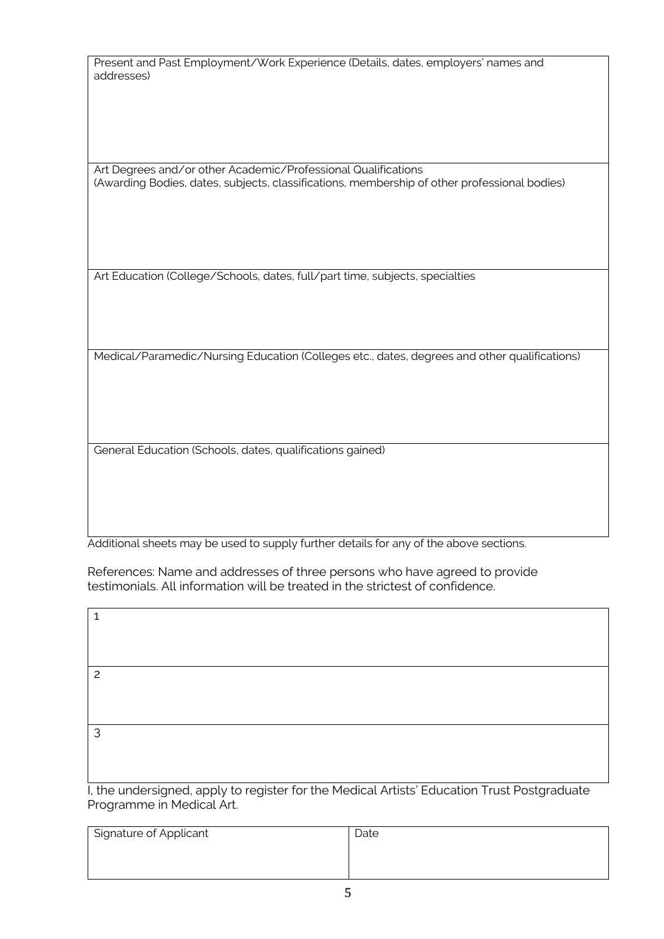| Present and Past Employment/Work Experience (Details, dates, employers' names and |  |
|-----------------------------------------------------------------------------------|--|
| addresses)                                                                        |  |

Art Degrees and/or other Academic/Professional Qualifications (Awarding Bodies, dates, subjects, classifications, membership of other professional bodies)

Art Education (College/Schools, dates, full/part time, subjects, specialties

Medical/Paramedic/Nursing Education (Colleges etc., dates, degrees and other qualifications)

General Education (Schools, dates, qualifications gained)

Additional sheets may be used to supply further details for any of the above sections.

References: Name and addresses of three persons who have agreed to provide testimonials. All information will be treated in the strictest of confidence.

| I, the undersigned, apply to register for the Medical Artists' Education Trust Postgraduate |
|---------------------------------------------------------------------------------------------|
| Programme in Medical Art.                                                                   |

| Signature of Applicant | Date |
|------------------------|------|
|                        |      |
|                        |      |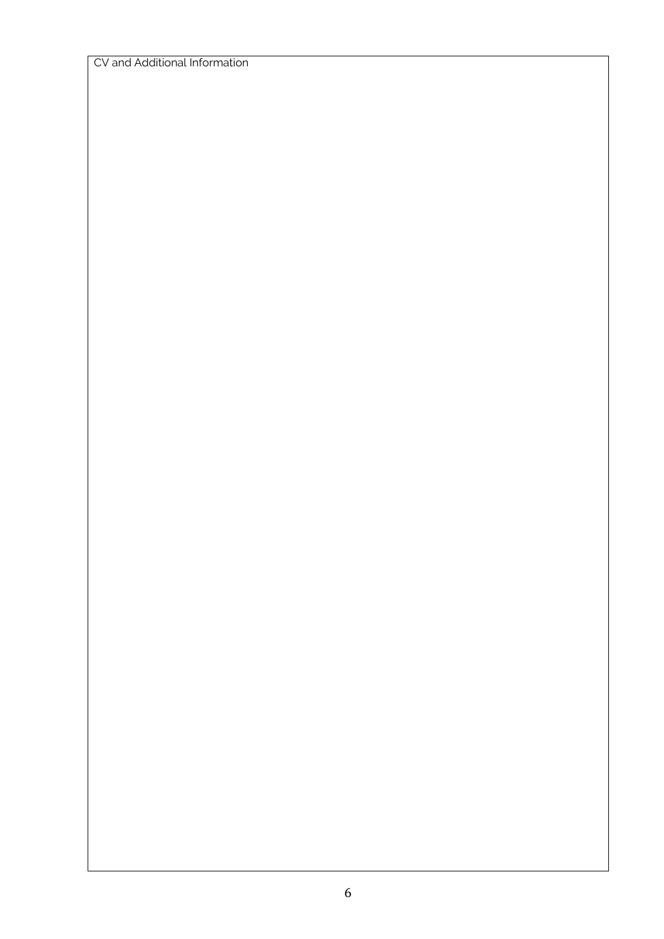CV and Additional Information